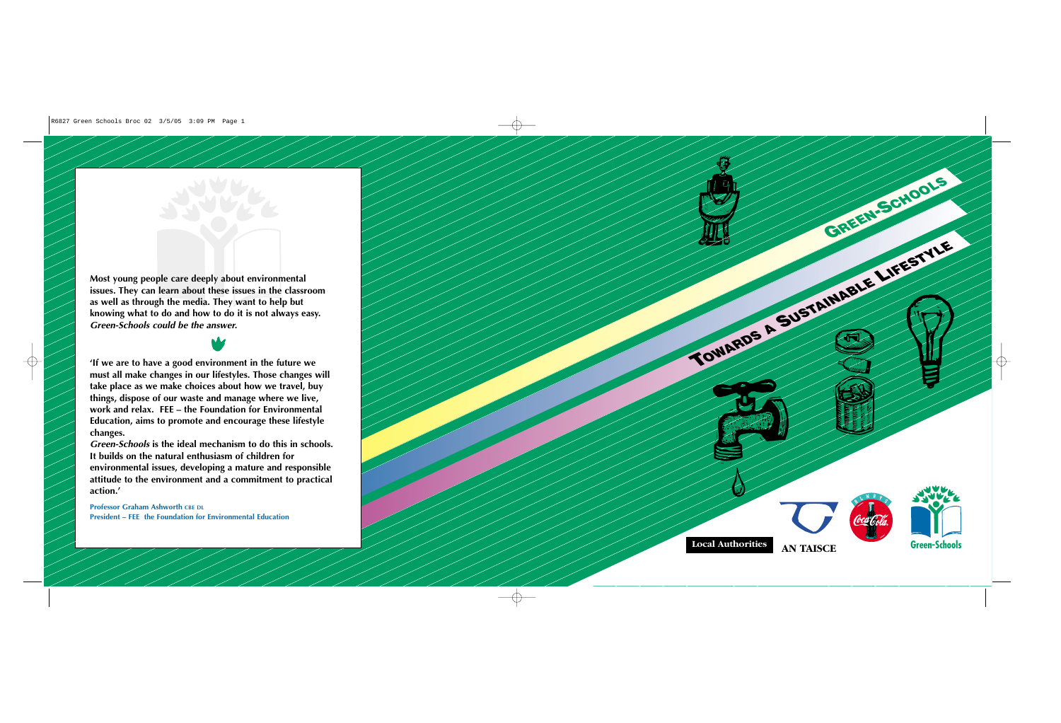**Professor Graham Ashworth CBE DL President – FEE the Foundation for Environmental Education**

**must all make changes in our lifestyles. Those changes will take place as we make choices about how we travel, buy things, dispose of our waste and manage where we live, work and relax. FEE – the Foundation for Environmental Education, aims to promote and encourage these lifestyle changes.** 



*Green-Schools* **is the ideal mechanism to do this in schools. It builds on the natural enthusiasm of children for environmental issues, developing a mature and responsible attitude to the environment and a commitment to practical action.'**